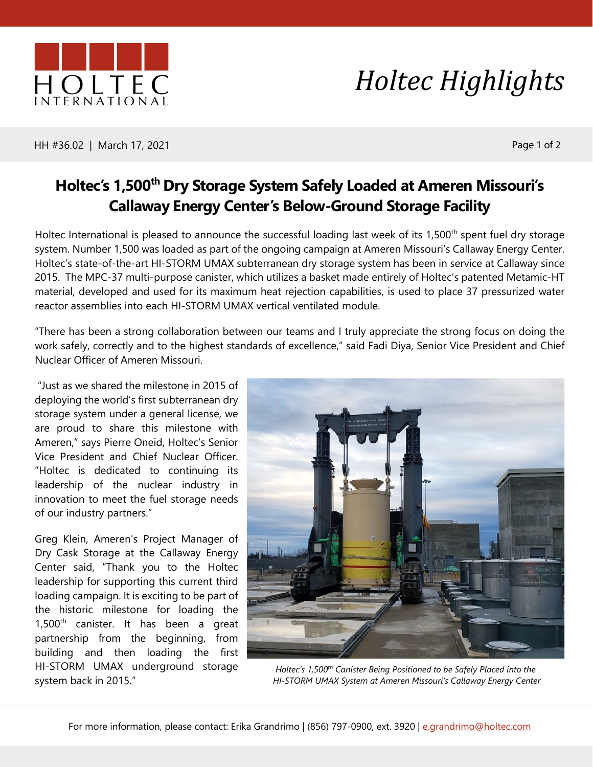

## *Holtec Highlights*

HH #36.02 | March 17, 2021 **Page 1 of 2** and 2 and 2 and 2 and 2 and 2 and 2 and 2 and 2 and 2 and 2 and 2 and 2

## **Holtec's 1,500<sup>th</sup> Dry Storage System Safely Loaded at Ameren Missouri's Callaway Energy Center's Below-Ground Storage Facility**

Holtec International is pleased to announce the successful loading last week of its 1,500<sup>th</sup> spent fuel dry storage system. Number 1,500 was loaded as part of the ongoing campaign at Ameren Missouri's Callaway Energy Center. Holtec's state-of-the-art HI-STORM UMAX subterranean dry storage system has been in service at Callaway since 2015. The MPC-37 multi-purpose canister, which utilizes a basket made entirely of Holtec's patented Metamic-HT material, developed and used for its maximum heat rejection capabilities, is used to place 37 pressurized water reactor assemblies into each HI-STORM UMAX vertical ventilated module.

"There has been a strong collaboration between our teams and I truly appreciate the strong focus on doing the work safely, correctly and to the highest standards of excellence," said Fadi Diya, Senior Vice President and Chief Nuclear Officer of Ameren Missouri.

"Just as we shared the milestone in 2015 of deploying the world's first subterranean dry storage system under a general license, we are proud to share this milestone with Ameren," says Pierre Oneid, Holtec's Senior Vice President and Chief Nuclear Officer. "Holtec is dedicated to continuing its leadership of the nuclear industry in innovation to meet the fuel storage needs of our industry partners."

Greg Klein, Ameren's Project Manager of Dry Cask Storage at the Callaway Energy Center said, "Thank you to the Holtec leadership for supporting this current third loading campaign. It is exciting to be part of the historic milestone for loading the  $1,500<sup>th</sup>$  canister. It has been a great partnership from the beginning, from building and then loading the first HI-STORM UMAX underground storage system back in 2015."



*Holtec's 1,500th Canister Being Positioned to be Safely Placed into the HI-STORM UMAX System at Ameren Missouri's Callaway Energy Center*